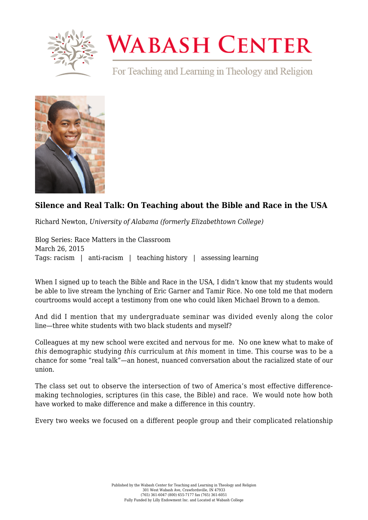

## **WABASH CENTER**

For Teaching and Learning in Theology and Religion



## **[Silence and Real Talk: On Teaching about the Bible and Race in the USA](https://www.wabashcenter.wabash.edu/2015/03/silence-and-real-talk-on-teaching-about-the-bible-and-race-in-the-usa/)**

Richard Newton, *University of Alabama (formerly Elizabethtown College)*

Blog Series: Race Matters in the Classroom March 26, 2015 Tags: racism | anti-racism | teaching history | assessing learning

When I signed up to teach the [Bible and Race in the USA,](https://canvas.instructure.com/courses/872266/assignments/syllabus) I didn't know that my students would be able to live stream the lynching of Eric Garner and Tamir Rice. No one told me that modern courtrooms would accept a testimony from one [who could liken Michael Brown to a demon.](https://www.wabashcenter.wabash.edu/2015/01/it-looks-like-a-demon-some-notes-on-the-visual-constructions-of-race/)

And did I mention that my undergraduate seminar was divided evenly along the color line—three white students with two black students and myself?

Colleagues at my new [school](http://www.etown.edu) were excited and nervous for me. No one knew what to make of *this* demographic studying *this* curriculum at *this* moment in time. This course was to be a chance for some "real talk"—an honest, nuanced conversation about the racialized state of our union.

The class set out to observe the intersection of two of America's most effective differencemaking technologies, scriptures (in this case, the Bible) and race. We would note how both have worked to make difference and make a difference in this country.

Every two weeks we focused on a different people group and their complicated relationship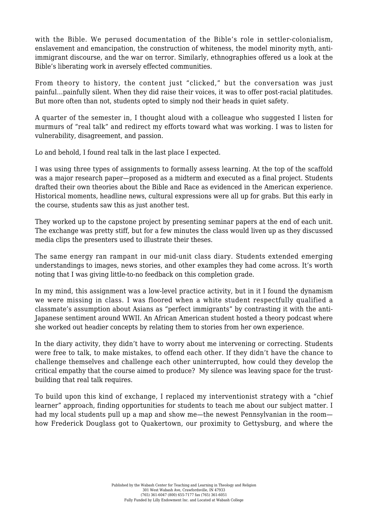with the Bible. We perused documentation of the Bible's role in settler-colonialism, enslavement and emancipation, the construction of whiteness, the model minority myth, antiimmigrant discourse, and the war on terror. Similarly, ethnographies offered us a look at the Bible's liberating work in aversely effected communities.

From theory to history, the content just "clicked," but the conversation was just painful…painfully silent. When they did raise their voices, it was to offer post-racial platitudes. But more often than not, students opted to simply nod their heads in quiet safety.

A quarter of the semester in, I thought aloud with a colleague who suggested I listen for murmurs of "real talk" and redirect my efforts toward what was working. I was to listen for vulnerability, disagreement, and passion.

Lo and behold, I found real talk in the last place I expected.

I was using three types of assignments to formally assess learning. At the top of the scaffold was a major research paper—proposed as a midterm and executed as a final project. Students drafted their own theories about the Bible and Race as evidenced in the American experience. Historical moments, headline news, cultural expressions were all up for grabs. But this early in the course, students saw this as just another test.

They worked up to the capstone project by presenting seminar papers at the end of each unit. The exchange was pretty stiff, but for a few minutes the class would liven up as they discussed media clips the presenters used to illustrate their theses.

The same energy ran rampant in our mid-unit class diary. Students extended emerging understandings to images, news stories, and other examples they had come across. It's worth noting that I was giving little-to-no feedback on this completion grade.

In my mind, this assignment was a low-level practice activity, but in it I found the dynamism we were missing in class. I was floored when a white student respectfully qualified a classmate's assumption about Asians as "perfect immigrants" by contrasting it with the anti-Japanese sentiment around WWII. An African American student hosted a theory podcast where she worked out headier concepts by relating them to stories from her own experience.

In the diary activity, they didn't have to worry about me intervening or correcting. Students were free to talk, to make mistakes, to offend each other. If they didn't have the chance to challenge themselves and challenge each other uninterrupted, how could they develop the critical empathy that the course aimed to produce? My silence was leaving space for the trustbuilding that real talk requires.

To build upon this kind of exchange, I replaced my interventionist strategy with a "chief learner" approach, finding opportunities for students to teach me about our subject matter. I had my local students pull up a map and show me—the newest Pennsylvanian in the room how Frederick Douglass got to Quakertown, our proximity to Gettysburg, and where the